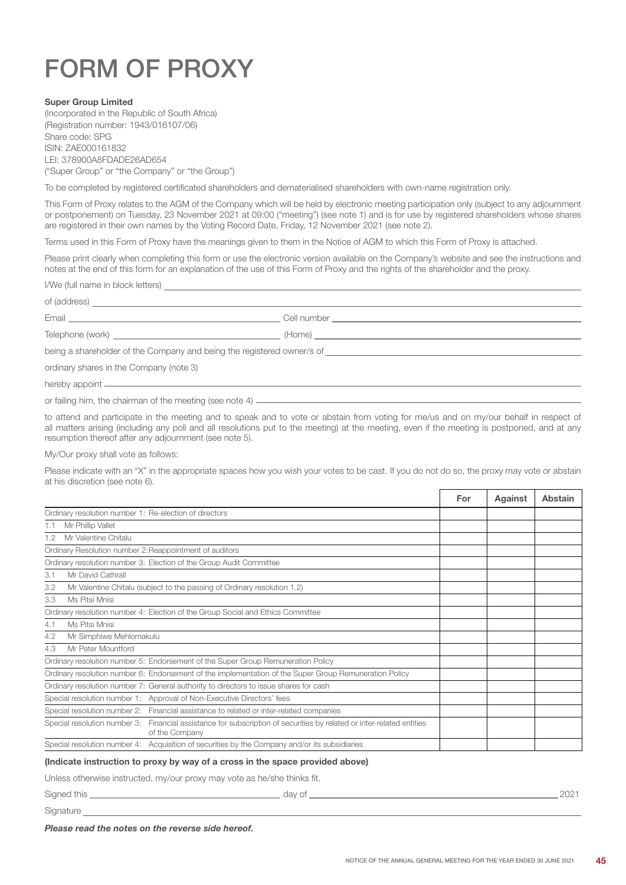# FORM OF PROXY

### Super Group Limited

(Incorporated in the Republic of South Africa) (Registration number: 1943/016107/06) Share code: SPG ISIN: ZAE000161832 LEI: 378900A8FDADE26AD654 ("Super Group" or "the Company" or "the Group")

To be completed by registered certificated shareholders and dematerialised shareholders with own-name registration only.

This Form of Proxy relates to the AGM of the Company which will be held by electronic meeting participation only (subject to any adjournment or postponement) on Tuesday, 23 November 2021 at 09:00 ("meeting") (see note 1) and is for use by registered shareholders whose shares are registered in their own names by the Voting Record Date, Friday, 12 November 2021 (see note 2).

Terms used in this Form of Proxy have the meanings given to them in the Notice of AGM to which this Form of Proxy is attached.

Please print clearly when completing this form or use the electronic version available on the Company's website and see the instructions and notes at the end of this form for an explanation of the use of this Form of Proxy and the rights of the shareholder and the proxy.

I/We (full name in block letters)

Email **Email Email <b>Email Cell number Cell number Cell number Cell number Cell number Cell number Cell number Cell number Cell number Cell number CELL 100 CELL 100 CELL 100 CELL 100 CELL 100** 

Telephone (work) (Home)

being a shareholder of the Company and being the registered owner/s of

ordinary shares in the Company (note 3)

hereby appoint

or failing him, the chairman of the meeting (see note 4)

of (address)

to attend and participate in the meeting and to speak and to vote or abstain from voting for me/us and on my/our behalf in respect of all matters arising (including any poll and all resolutions put to the meeting) at the meeting, even if the meeting is postponed, and at any resumption thereof after any adjournment (see note 5).

My/Our proxy shall vote as follows:

Please indicate with an "X" in the appropriate spaces how you wish your votes to be cast. If you do not do so, the proxy may vote or abstain at his discretion (see note 6).

|                                                                                                        |                                                                                                                                         | For | Against | Abstain |
|--------------------------------------------------------------------------------------------------------|-----------------------------------------------------------------------------------------------------------------------------------------|-----|---------|---------|
| Ordinary resolution number 1: Re-election of directors                                                 |                                                                                                                                         |     |         |         |
| 1.1                                                                                                    | Mr Phillip Vallet                                                                                                                       |     |         |         |
| 1.2                                                                                                    | Mr Valentine Chitalu                                                                                                                    |     |         |         |
|                                                                                                        | Ordinary Resolution number 2: Reappointment of auditors                                                                                 |     |         |         |
|                                                                                                        | Ordinary resolution number 3: Election of the Group Audit Committee                                                                     |     |         |         |
| 3.1                                                                                                    | Mr David Cathrall                                                                                                                       |     |         |         |
| 3.2                                                                                                    | Mr Valentine Chitalu (subject to the passing of Ordinary resolution 1.2)                                                                |     |         |         |
| 3.3                                                                                                    | Ms Pitsi Mnisi                                                                                                                          |     |         |         |
| Ordinary resolution number 4: Election of the Group Social and Ethics Committee                        |                                                                                                                                         |     |         |         |
| 4.1                                                                                                    | Ms Pitsi Mnisi                                                                                                                          |     |         |         |
| 4.2                                                                                                    | Mr Simphiwe Mehlomakulu                                                                                                                 |     |         |         |
| 4.3                                                                                                    | Mr Peter Mountford                                                                                                                      |     |         |         |
| Ordinary resolution number 5: Endorsement of the Super Group Remuneration Policy                       |                                                                                                                                         |     |         |         |
| Ordinary resolution number 6: Endorsement of the implementation of the Super Group Remuneration Policy |                                                                                                                                         |     |         |         |
|                                                                                                        | Ordinary resolution number 7: General authority to directors to issue shares for cash                                                   |     |         |         |
|                                                                                                        | Special resolution number 1: Approval of Non-Executive Directors' fees                                                                  |     |         |         |
| Special resolution number 2: Financial assistance to related or inter-related companies                |                                                                                                                                         |     |         |         |
|                                                                                                        | Special resolution number 3: Financial assistance for subscription of securities by related or inter-related entities<br>of the Company |     |         |         |
| Special resolution number 4: Acquisition of securities by the Company and/or its subsidiaries          |                                                                                                                                         |     |         |         |

## (Indicate instruction to proxy by way of a cross in the space provided above)

Unless otherwise instructed, my/our proxy may vote as he/she thinks fit.

Signed this day of 2021

Signature

For Against Abstain

*Please read the notes on the reverse side hereof.*